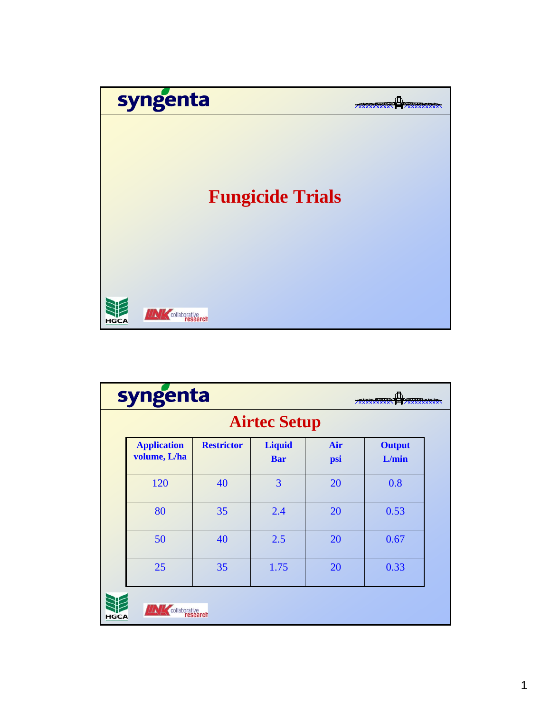

| syngenta            |                                    |                   |                             |            |                        |  |
|---------------------|------------------------------------|-------------------|-----------------------------|------------|------------------------|--|
| <b>Airtec Setup</b> |                                    |                   |                             |            |                        |  |
|                     | <b>Application</b><br>volume, L/ha | <b>Restrictor</b> | <b>Liquid</b><br><b>Bar</b> | Air<br>psi | <b>Output</b><br>L/min |  |
|                     | 120                                | 40                | 3                           | 20         | 0.8                    |  |
|                     | 80                                 | 35                | 2.4                         | 20         | 0.53                   |  |
|                     | 50                                 | 40                | 2.5                         | 20         | 0.67                   |  |
|                     | 25                                 | 35                | 1.75                        | 20         | 0.33                   |  |
| <b>HGCA</b>         | collaborative<br>research          |                   |                             |            |                        |  |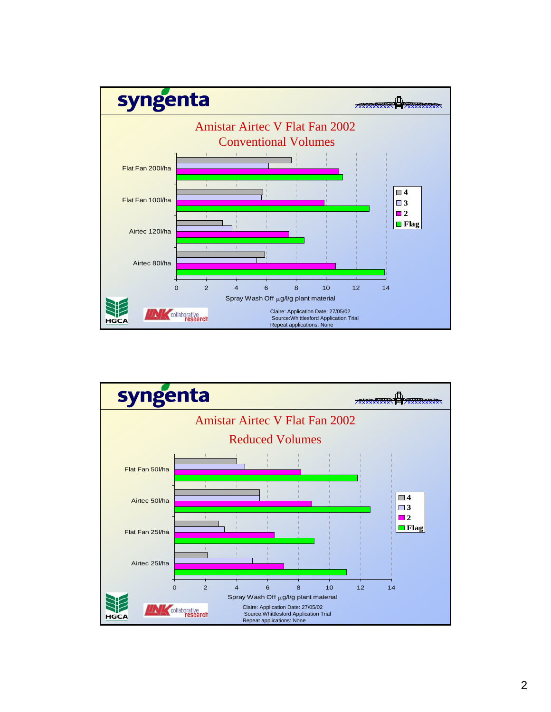

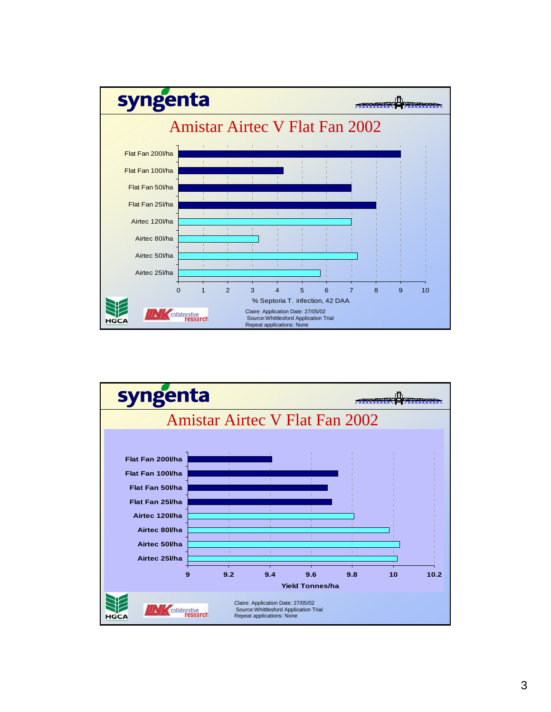